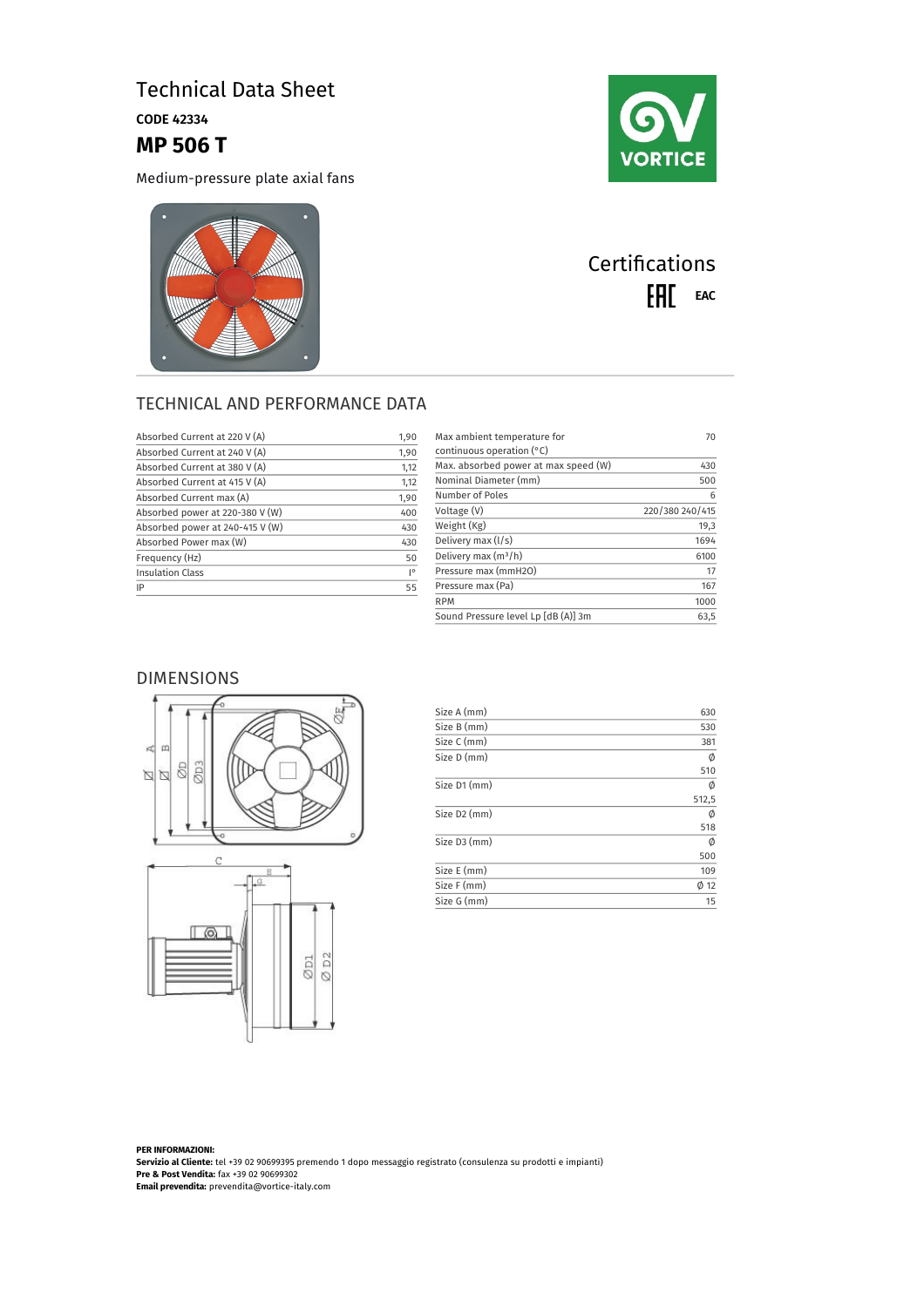# Technical Data Sheet

CODE 42334

## **MP 506 T**

Medium-pressure plate axial fans





# **Certifications** EAL EAC

### TECHNICAL AND PERFORMANCE DATA

| Absorbed Current at 220 V (A)   | 1,90               |
|---------------------------------|--------------------|
| Absorbed Current at 240 V (A)   | 1,90               |
| Absorbed Current at 380 V (A)   | 1,12               |
| Absorbed Current at 415 V (A)   | 1,12               |
| Absorbed Current max (A)        | 1,90               |
| Absorbed power at 220-380 V (W) | 400                |
| Absorbed power at 240-415 V (W) | 430                |
| Absorbed Power max (W)          | 430                |
| Frequency (Hz)                  | 50                 |
| Insulation Class                | $\mathsf{I}^\circ$ |
| IP                              | 55                 |
|                                 |                    |

| Max ambient temperature for<br>continuous operation $(°C)$ | 70              |
|------------------------------------------------------------|-----------------|
| Max. absorbed power at max speed (W)                       | 430             |
| Nominal Diameter (mm)                                      | 500             |
| Number of Poles                                            | 6               |
| Voltage (V)                                                | 220/380 240/415 |
| Weight (Kg)                                                | 19,3            |
| Delivery max (I/s)                                         | 1694            |
| Delivery max $(m^3/h)$                                     | 6100            |
| Pressure max (mmH2O)                                       | 17              |
| Pressure max (Pa)                                          | 167             |
| <b>RPM</b>                                                 | 1000            |
| Sound Pressure level Lp [dB (A)] 3m                        | 63,5            |

#### DIMENSIONS





| Size A (mm)              | 630       |
|--------------------------|-----------|
| Size B (mm)              | 530       |
| Size C (mm)              | 381       |
| Size D (mm)              | Ø         |
|                          | 510       |
| Size D1 (mm)             | Ø         |
|                          | 512,5     |
| Size D <sub>2</sub> (mm) | Ø         |
|                          | 518       |
| Size D3 (mm)             | Ø         |
|                          | 500       |
| Size E (mm)              | 109       |
| Size F (mm)              | $\phi$ 12 |
| Size G (mm)              | 15        |

**PER INFORMAZIONI: Servizio al Cliente:** tel +39 02 90699395 premendo 1 dopo messaggio registrato (consulenza su prodotti e impianti) **Pre & Post Vendita:** fax +39 02 90699302 **Email prevendita:** prevendita@vortice-italy.com